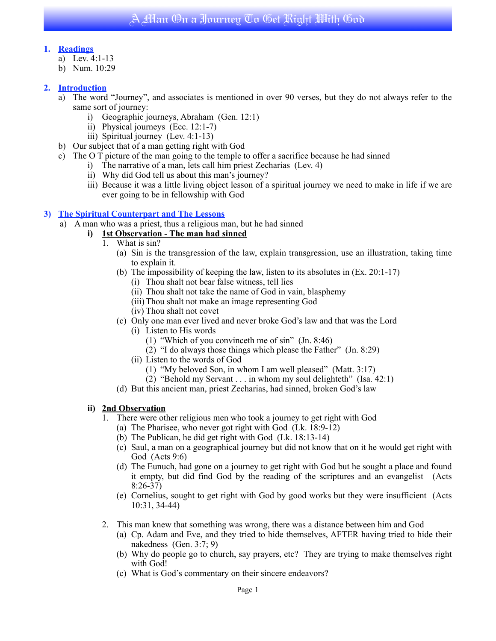# **1. Readings**

- a) Lev. 4:1-13
- b) Num. 10:29

# **2. Introduction**

- a) The word "Journey", and associates is mentioned in over 90 verses, but they do not always refer to the same sort of journey:
	- i) Geographic journeys, Abraham (Gen. 12:1)
	- ii) Physical journeys (Ecc. 12:1-7)
	- iii) Spiritual journey (Lev. 4:1-13)
- b) Our subject that of a man getting right with God
- c) The O T picture of the man going to the temple to offer a sacrifice because he had sinned
	- i) The narrative of a man, lets call him priest Zecharias (Lev. 4)
	- ii) Why did God tell us about this man's journey?
	- iii) Because it was a little living object lesson of a spiritual journey we need to make in life if we are ever going to be in fellowship with God

### **3) The Spiritual Counterpart and The Lessons**

a) A man who was a priest, thus a religious man, but he had sinned

## **i) 1st Observation - The man had sinned**

- 1. What is sin?
	- (a) Sin is the transgression of the law, explain transgression, use an illustration, taking time to explain it.
	- (b) The impossibility of keeping the law, listen to its absolutes in (Ex. 20:1-17)
		- (i) Thou shalt not bear false witness, tell lies
		- (ii) Thou shalt not take the name of God in vain, blasphemy
		- (iii)Thou shalt not make an image representing God
		- (iv) Thou shalt not covet
	- (c) Only one man ever lived and never broke God's law and that was the Lord
		- (i) Listen to His words
			- (1) "Which of you convinceth me of sin" (Jn. 8:46)
			- (2) "I do always those things which please the Father" (Jn. 8:29)
		- (ii) Listen to the words of God
			- (1) "My beloved Son, in whom I am well pleased" (Matt. 3:17)
			- $(2)$  "Behold my Servant . . . in whom my soul delighteth" (Isa. 42:1)
	- (d) But this ancient man, priest Zecharias, had sinned, broken God's law

## **ii) 2nd Observation**

- 1. There were other religious men who took a journey to get right with God
	- (a) The Pharisee, who never got right with God (Lk. 18:9-12)
	- (b) The Publican, he did get right with God (Lk. 18:13-14)
	- (c) Saul, a man on a geographical journey but did not know that on it he would get right with God (Acts 9:6)
	- (d) The Eunuch, had gone on a journey to get right with God but he sought a place and found it empty, but did find God by the reading of the scriptures and an evangelist (Acts 8:26-37)
	- (e) Cornelius, sought to get right with God by good works but they were insufficient (Acts 10:31, 34-44)
- 2. This man knew that something was wrong, there was a distance between him and God
	- (a) Cp. Adam and Eve, and they tried to hide themselves, AFTER having tried to hide their nakedness (Gen. 3:7; 9)
	- (b) Why do people go to church, say prayers, etc? They are trying to make themselves right with God!
	- (c) What is God's commentary on their sincere endeavors?